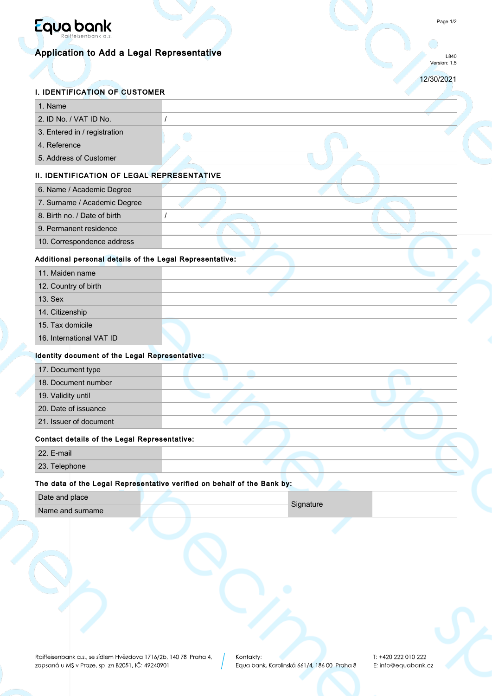

# Application to Add a Legal Representative

L840 Version: 1.5

12/30/2021

C.

## I. IDENTIFICATION OF CUSTOMER

| 1. Name                                                  |                                                                         |
|----------------------------------------------------------|-------------------------------------------------------------------------|
| 2. ID No. / VAT ID No.                                   | $\prime$                                                                |
| 3. Entered in / registration                             |                                                                         |
| 4. Reference                                             |                                                                         |
| 5. Address of Customer                                   |                                                                         |
| II. IDENTIFICATION OF LEGAL REPRESENTATIVE               |                                                                         |
| 6. Name / Academic Degree                                |                                                                         |
| 7. Surname / Academic Degree                             |                                                                         |
| 8. Birth no. / Date of birth                             | 1                                                                       |
| 9. Permanent residence                                   |                                                                         |
| 10. Correspondence address                               |                                                                         |
| Additional personal details of the Legal Representative: |                                                                         |
| 11. Maiden name                                          |                                                                         |
| 12. Country of birth                                     |                                                                         |
| 13. Sex                                                  |                                                                         |
| 14. Citizenship                                          |                                                                         |
| 15. Tax domicile                                         |                                                                         |
| 16. International VAT ID                                 |                                                                         |
| Identity document of the Legal Representative:           |                                                                         |
| 17. Document type                                        |                                                                         |
| 18. Document number                                      |                                                                         |
| 19. Validity until                                       |                                                                         |
| 20. Date of issuance                                     |                                                                         |
| 21. Issuer of document                                   |                                                                         |
| Contact details of the Legal Representative:             |                                                                         |
| 22. E-mail                                               |                                                                         |
| 23. Telephone                                            |                                                                         |
|                                                          | The data of the Legal Representative verified on behalf of the Bank by: |
| Date and place                                           |                                                                         |
|                                                          | Signature                                                               |